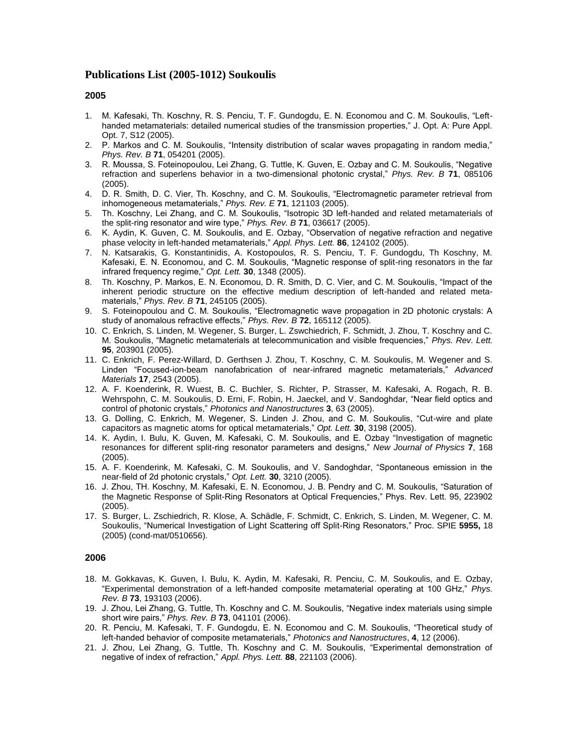# **Publications List (2005-1012) Soukoulis**

# **2005**

- 1. M. Kafesaki, Th. Koschny, R. S. Penciu, T. F. Gundogdu, E. N. Economou and C. M. Soukoulis, "Lefthanded metamaterials: detailed numerical studies of the transmission properties," J. Opt. A: Pure Appl. Opt. 7, S12 (2005).
- 2. P. Markos and C. M. Soukoulis, "Intensity distribution of scalar waves propagating in random media," *Phys. Rev. B* **71**, 054201 (2005).
- 3. R. Moussa, S. Foteinopoulou, Lei Zhang, G. Tuttle, K. Guven, E. Ozbay and C. M. Soukoulis, "Negative refraction and superlens behavior in a two-dimensional photonic crystal," *Phys. Rev. B* **71**, 085106 (2005).
- 4. D. R. Smith, D. C. Vier, Th. Koschny, and C. M. Soukoulis, "Electromagnetic parameter retrieval from inhomogeneous metamaterials," *Phys. Rev. E* **71**, 121103 (2005).
- 5. Th. Koschny, Lei Zhang, and C. M. Soukoulis, "Isotropic 3D left-handed and related metamaterials of the split-ring resonator and wire type," *Phys. Rev. B* **71**, 036617 (2005).
- 6. K. Aydin, K. Guven, C. M. Soukoulis, and E. Ozbay, "Observation of negative refraction and negative phase velocity in left-handed metamaterials," *Appl. Phys. Lett.* **86**, 124102 (2005).
- 7. N. Katsarakis, G. Konstantinidis, A. Kostopoulos, R. S. Penciu, T. F. Gundogdu, Th Koschny, M. Kafesaki, E. N. Economou, and C. M. Soukoulis, "Magnetic response of split-ring resonators in the far infrared frequency regime," *Opt. Lett.* **30**, 1348 (2005).
- 8. Th. Koschny, P. Markos, E. N. Economou, D. R. Smith, D. C. Vier, and C. M. Soukoulis, "Impact of the inherent periodic structure on the effective medium description of left-handed and related metamaterials," *Phys. Rev. B* **71**, 245105 (2005).
- 9. S. Foteinopoulou and C. M. Soukoulis, "Electromagnetic wave propagation in 2D photonic crystals: A study of anomalous refractive effects," *Phys. Rev. B* **72**, 165112 (2005).
- 10. C. Enkrich, S. Linden, M. Wegener, S. Burger, L. Zswchiedrich, F. Schmidt, J. Zhou, T. Koschny and C. M. Soukoulis, "Magnetic metamaterials at telecommunication and visible frequencies," *Phys. Rev. Lett.*  **95**, 203901 (2005).
- 11. C. Enkrich, F. Perez-Willard, D. Gerthsen J. Zhou, T. Koschny, C. M. Soukoulis, M. Wegener and S. Linden "Focused-ion-beam nanofabrication of near-infrared magnetic metamaterials," *Advanced Materials* **17**, 2543 (2005).
- 12. A. F. Koenderink, R. Wuest, B. C. Buchler, S. Richter, P. Strasser, M. Kafesaki, A. Rogach, R. B. Wehrspohn, C. M. Soukoulis, D. Erni, F. Robin, H. Jaeckel, and V. Sandoghdar, "Near field optics and control of photonic crystals," *Photonics and Nanostructures* **3**, 63 (2005).
- 13. G. Dolling, C. Enkrich, M. Wegener, S. Linden J. Zhou, and C. M. Soukoulis, "Cut-wire and plate capacitors as magnetic atoms for optical metamaterials," *Opt. Lett.* **30**, 3198 (2005).
- 14. K. Aydin, I. Bulu, K. Guven, M. Kafesaki, C. M. Soukoulis, and E. Ozbay "Investigation of magnetic resonances for different split-ring resonator parameters and designs," *New Journal of Physics* **7**, 168 (2005).
- 15. A. F. Koenderink, M. Kafesaki, C. M. Soukoulis, and V. Sandoghdar, "Spontaneous emission in the near-field of 2d photonic crystals," *Opt. Lett.* **30**, 3210 (2005).
- 16. J. Zhou, TH. Koschny, M. Kafesaki, E. N. Economou, J. B. Pendry and C. M. Soukoulis, "Saturation of the Magnetic Response of Split-Ring Resonators at Optical Frequencies," Phys. Rev. Lett. 95, 223902 (2005).
- 17. [S. Burger,](http://xxx.lanl.gov/find/cond-mat/1/au:+Burger_S/0/1/0/all/0/1) [L. Zschiedrich,](http://xxx.lanl.gov/find/cond-mat/1/au:+Zschiedrich_L/0/1/0/all/0/1) [R. Klose,](http://xxx.lanl.gov/find/cond-mat/1/au:+Klose_R/0/1/0/all/0/1) [A. Schädle,](http://xxx.lanl.gov/find/cond-mat/1/au:+Sch%7Ba%7Ddle_A/0/1/0/all/0/1) [F. Schmidt,](http://xxx.lanl.gov/find/cond-mat/1/au:+Schmidt_F/0/1/0/all/0/1) [C. Enkrich,](http://xxx.lanl.gov/find/cond-mat/1/au:+Enkrich_C/0/1/0/all/0/1) [S. Linden,](http://xxx.lanl.gov/find/cond-mat/1/au:+Linden_S/0/1/0/all/0/1) [M. Wegener,](http://xxx.lanl.gov/find/cond-mat/1/au:+Wegener_M/0/1/0/all/0/1) [C. M.](http://xxx.lanl.gov/find/cond-mat/1/au:+Soukoulis_C/0/1/0/all/0/1)  [Soukoulis,](http://xxx.lanl.gov/find/cond-mat/1/au:+Soukoulis_C/0/1/0/all/0/1) "Numerical Investigation of Light Scattering off Split-Ring Resonators," Proc. SPIE **5955,** 18 (2005) (cond-mat/0510656).

- 18. M. Gokkavas, K. Guven, I. Bulu, K. Aydin, M. Kafesaki, R. Penciu, C. M. Soukoulis, and E. Ozbay, "Experimental demonstration of a left-handed composite metamaterial operating at 100 GHz," *Phys. Rev. B* **73**, 193103 (2006).
- 19. J. Zhou, Lei Zhang, G. Tuttle, Th. Koschny and C. M. Soukoulis, "Negative index materials using simple short wire pairs," *Phys. Rev. B* **73**, 041101 (2006).
- 20. R. Penciu, M. Kafesaki, T. F. Gundogdu, E. N. Economou and C. M. Soukoulis, "Theoretical study of left-handed behavior of composite metamaterials," *Photonics and Nanostructures*, **4**, 12 (2006).
- 21. J. Zhou, Lei Zhang, G. Tuttle, Th. Koschny and C. M. Soukoulis, "Experimental demonstration of negative of index of refraction," *Appl. Phys. Lett.* **88**, 221103 (2006).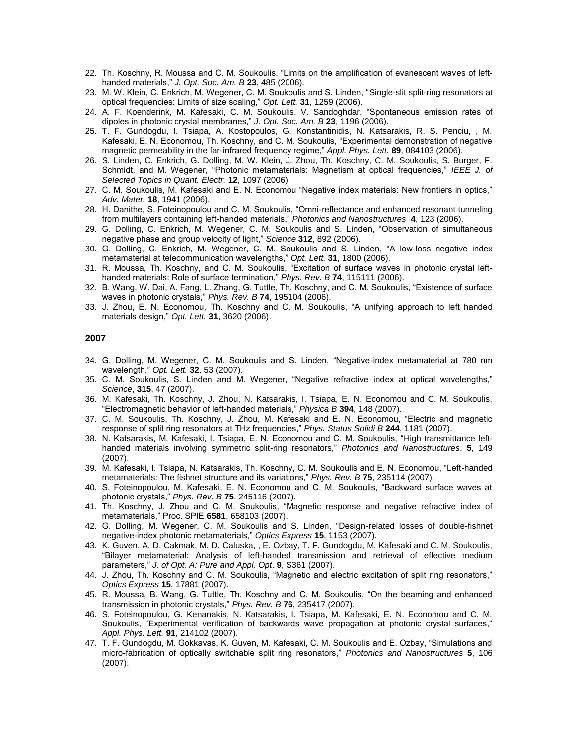- 22. Th. Koschny, R. Moussa and C. M. Soukoulis, "Limits on the amplification of evanescent waves of lefthanded materials," *J. Opt. Soc. Am. B* **23**, 485 (2006).
- 23. M. W. Klein, C. Enkrich, M. Wegener, C. M. Soukoulis and S. Linden, "Single-slit split-ring resonators at optical frequencies: Limits of size scaling," *Opt. Lett.* **31**, 1259 (2006).
- 24. [A. F. Koenderink,](http://xxx.lanl.gov/find/cond-mat/1/au:+Koenderink_A/0/1/0/all/0/1) [M. Kafesaki,](http://xxx.lanl.gov/find/cond-mat/1/au:+Kafesaki_M/0/1/0/all/0/1) [C. M. Soukoulis,](http://xxx.lanl.gov/find/cond-mat/1/au:+Soukoulis_C/0/1/0/all/0/1) [V. Sandoghdar,](http://xxx.lanl.gov/find/cond-mat/1/au:+Sandoghdar_V/0/1/0/all/0/1) "Spontaneous emission rates of dipoles in photonic crystal membranes," *J. Opt. Soc. Am. B* **23**, 1196 (2006).
- 25. T. F. Gundogdu, I. Tsiapa, A. Kostopoulos, G. Konstantinidis, N. Katsarakis, R. S. Penciu, , M. Kafesaki, E. N. Economou, Th. Koschny, and C. M. Soukoulis, "Experimental demonstration of negative magnetic permeability in the far-infrared frequency regime," *Appl. Phys. Lett.* **89**, 084103 (2006).
- 26. S. Linden, C. Enkrich, G. Dolling, M. W. Klein, J. Zhou, Th. Koschny, C. M. Soukoulis, S. Burger, F. Schmidt, and M. Wegener, "Photonic metamaterials: Magnetism at optical frequencies," *IEEE J. of Selected Topics in Quant. Electr.* **12**, 1097 (2006).
- 27. C. M. Soukoulis, M. Kafesaki and E. N. Economou "Negative index materials: New frontiers in optics," *Adv. Mater.* **18**, 1941 (2006).
- 28. H. Danithe, S. Foteinopoulou and C. M. Soukoulis, "Omni-reflectance and enhanced resonant tunneling from multilayers containing left-handed materials," *Photonics and Nanostructures* **4**, 123 (2006).
- 29. G. Dolling, C. Enkrich, M. Wegener, C. M. Soukoulis and S. Linden, "Observation of simultaneous negative phase and group velocity of light," *Science* **312**, 892 (2006).
- 30. G. Dolling, C. Enkrich, M. Wegener, C. M. Soukoulis and S. Linden, "A low-loss negative index metamaterial at telecommunication wavelengths," *Opt. Lett.* **31**, 1800 (2006).
- 31. R. Moussa, Th. Koschny, and C. M. Soukoulis, "Excitation of surface waves in photonic crystal lefthanded materials: Role of surface termination," *Phys. Rev. B* **74**, 115111 (2006).
- 32. B. Wang, W. Dai, A. Fang, L. Zhang, G. Tuttle, Th. Koschny, and C. M. Soukoulis, "Existence of surface waves in photonic crystals," *Phys. Rev. B* **74**, 195104 (2006).
- 33. J. Zhou, E. N. Economou, Th. Koschny and C. M. Soukoulis, "A unifying approach to left handed materials design," *Opt. Lett.* **31**, 3620 (2006).

- 34. G. Dolling, M. Wegener, C. M. Soukoulis and S. Linden, "Negative-index metamaterial at 780 nm wavelength," *Opt. Lett.* **32**, 53 (2007).
- 35. C. M. Soukoulis, S. Linden and M. Wegener, "Negative refractive index at optical wavelengths," *Science*, **315**, 47 (2007).
- 36. M. Kafesaki, Th. Koschny, J. Zhou, N. Katsarakis, I. Tsiapa, E. N. Economou and C. M. Soukoulis, "Electromagnetic behavior of left-handed materials," *Physica B* **394**, 148 (2007).
- 37. C. M. Soukoulis, Th. Koschny, J. Zhou, M. Kafesaki and E. N. Economou, "Electric and magnetic response of split ring resonators at THz frequencies," *Phys. Status Solidi B* **244**, 1181 (2007).
- 38. N. Katsarakis, M. Kafesaki, I. Tsiapa, E. N. Economou and C. M. Soukoulis, "High transmittance lefthanded materials involving symmetric split-ring resonators," *Photonics and Nanostructures*, **5**, 149 (2007).
- 39. M. Kafesaki, I. Tsiapa, N. Katsarakis, Th. Koschny, C. M. Soukoulis and E. N. Economou, "Left-handed metamaterials: The fishnet structure and its variations," *Phys. Rev. B* **75**, 235114 (2007).
- 40. S. Foteinopoulou, M. Kafesaki, E. N. Economou and C. M. Soukoulis, "Backward surface waves at photonic crystals," *Phys. Rev. B* **75**, 245116 (2007).
- 41. Th. Koschny, J. Zhou and C. M. Soukoulis, "Magnetic response and negative refractive index of metamaterials," Proc. SPIE **6581**, 658103 (2007).
- 42. G. Dolling, M. Wegener, C. M. Soukoulis and S. Linden, "Design-related losses of double-fishnet negative-index photonic metamaterials," *Optics Express* **15**, 1153 (2007).
- 43. K. Guven, A. D. Cakmak, M. D. Caluska, , E. Ozbay, T. F. Gundogdu, M. Kafesaki and C. M. Soukoulis, "Bilayer metamaterial: Analysis of left-handed transmission and retrieval of effective medium parameters," *J. of Opt. A: Pure and Appl. Opt*. **9**, S361 (2007).
- 44. J. Zhou, Th. Koschny and C. M. Soukoulis, "Magnetic and electric excitation of split ring resonators," *Optics Express* **15**, 17881 (2007).
- 45. R. Moussa, B. Wang, G. Tuttle, Th. Koschny and C. M. Soukoulis, "On the beaming and enhanced transmission in photonic crystals," *Phys. Rev. B* **76**, 235417 (2007).
- 46. S. Foteinopoulou, G. Kenanakis, N. Katsarakis, I. Tsiapa, M. Kafesaki, E. N. Economou and C. M. Soukoulis, "Experimental verification of backwards wave propagation at photonic crystal surfaces," *Appl. Phys. Lett.* **91**, 214102 (2007).
- 47. T. F. Gundogdu, M. Gokkavas, K. Guven, M. Kafesaki, C. M. Soukoulis and E. Ozbay, "Simulations and micro-fabrication of optically switchable split ring resonators," *Photonics and Nanostructures* **5**, 106 (2007).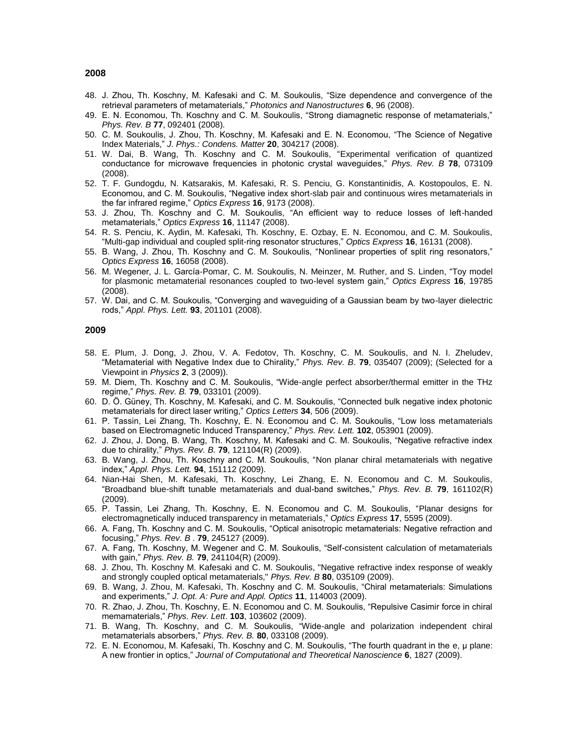- 48. J. Zhou, Th. Koschny, M. Kafesaki and C. M. Soukoulis, "Size dependence and convergence of the retrieval parameters of metamaterials," *Photonics and Nanostructures* **6**, 96 (2008).
- 49. E. N. Economou, Th. Koschny and C. M. Soukoulis, "Strong diamagnetic response of metamaterials," *Phys. Rev. B* **77**, 092401 (2008)*.*
- 50. C. M. Soukoulis, J. Zhou, Th. Koschny, M. Kafesaki and E. N. Economou, "The Science of Negative Index Materials," *J. Phys.: Condens. Matter* **20**, 304217 (2008).
- 51. W. Dai, B. Wang, Th. Koschny and C. M. Soukoulis, "Experimental verification of quantized conductance for microwave frequencies in photonic crystal waveguides," *Phys. Rev. B* **78**, 073109 (2008).
- 52. T. F. Gundogdu, N. Katsarakis, M. Kafesaki, R. S. Penciu, G. Konstantinidis, A. Kostopoulos, E. N. Economou, and C. M. Soukoulis, "Negative index short-slab pair and continuous wires metamaterials in the far infrared regime," *Optics Express* **16**, 9173 (2008).
- 53. J. Zhou, Th. Koschny and C. M. Soukoulis, "An efficient way to reduce losses of left-handed metamaterials," *Optics Express* **16**, 11147 (2008).
- 54. R. S. Penciu, K. Aydin, M. Kafesaki, Th. Koschny, E. Ozbay, E. N. Economou, and C. M. Soukoulis, "Multi-gap individual and coupled split-ring resonator structures," *Optics Express* **16**, 16131 (2008).
- 55. B. Wang, J. Zhou, Th. Koschny and C. M. Soukoulis, "Nonlinear properties of split ring resonators," *Optics Express* **16**, 16058 (2008).
- 56. M. Wegener, J. L. García-Pomar, C. M. Soukoulis, N. Meinzer, M. Ruther, and S. Linden, "Toy model for plasmonic metamaterial resonances coupled to two-level system gain," *Optics Express* **16**, 19785 (2008).
- 57. W. Dai, and C. M. Soukoulis, "Converging and waveguiding of a Gaussian beam by two-layer dielectric rods," *Appl. Phys. Lett.* **93**, 201101 (2008).

- 58. E. Plum, J. Dong, J. Zhou, V. A. Fedotov, Th. Koschny, C. M. Soukoulis, and N. I. Zheludev, "Metamaterial with Negative Index due to Chirality," *Phys. Rev. B*. **79**, 035407 (2009); (Selected for a Viewpoint in *Physics* **2**, 3 (2009)).
- 59. M. Diem, Th. Koschny and C. M. Soukoulis, "Wide-angle perfect absorber/thermal emitter in the THz regime," *Phys. Rev. B.* **79**, 033101 (2009).
- 60. D. Ö. Güney, Th. Koschny, M. Kafesaki, and C. M. Soukoulis, "Connected bulk negative index photonic metamaterials for direct laser writing," *Optics Letters* **34**, 506 (2009).
- 61. P. Tassin, Lei Zhang, Th. Koschny, E. N. Economou and C. M. Soukoulis, "Low loss metamaterials based on Electromagnetic Induced Transparency," *Phys. Rev. Lett.* **102**, 053901 (2009).
- 62. J. Zhou, J. Dong, B. Wang, Th. Koschny, M. Kafesaki and C. M. Soukoulis, "Negative refractive index due to chirality," *Phys. Rev. B.* **79**, 121104(R) (2009).
- 63. B. Wang, J. Zhou, Th. Koschny and C. M. Soukoulis, "Non planar chiral metamaterials with negative index," *Appl. Phys. Lett.* **94**, 151112 (2009).
- 64. Nian-Hai Shen, M. Kafesaki, Th. Koschny, Lei Zhang, E. N. Economou and C. M. Soukoulis, "Broadband blue-shift tunable metamaterials and dual-band switches," *Phys. Rev. B.* **79**, 161102(R) (2009).
- 65. P. Tassin, Lei Zhang, Th. Koschny, E. N. Economou and C. M. Soukoulis, "Planar designs for electromagnetically induced transparency in metamaterials," *Optics Express* **17**, 5595 (2009).
- 66. A. Fang, Th. Koschny and C. M. Soukoulis, "Optical anisotropic metamaterials: Negative refraction and focusing," *Phys. Rev. B* . **79**, 245127 (2009).
- 67. A. Fang, Th. Koschny, M. Wegener and C. M. Soukoulis, "Self-consistent calculation of metamaterials with gain," *Phys. Rev. B.* **79**, 241104(R) (2009).
- 68. J. Zhou, Th. Koschny M. Kafesaki and C. M. Soukoulis, "Negative refractive index response of weakly and strongly coupled optical metamaterials," *Phys. Rev. B* **80**, 035109 (2009).
- 69. B. Wang, J. Zhou, M. Kafesaki, Th. Koschny and C. M. Soukoulis, "Chiral metamaterials: Simulations and experiments," *J. Opt. A: Pure and Appl. Optics* **11**, 114003 (2009).
- 70. R. Zhao, J. Zhou, Th. Koschny, E. N. Economou and C. M. Soukoulis, "Repulsive Casimir force in chiral memamaterials," *Phys. Rev. Lett*. **103**, 103602 (2009).
- 71. B. Wang, Th. Koschny, and C. M. Soukoulis, "Wide-angle and polarization independent chiral metamaterials absorbers," *Phys. Rev. B.* **80**, 033108 (2009).
- 72. E. N. Economou, M. Kafesaki, Th. Koschny and C. M. Soukoulis, "The fourth quadrant in the e, μ plane: A new frontier in optics," *Journal of Computational and Theoretical Nanoscience* **6**, 1827 (2009).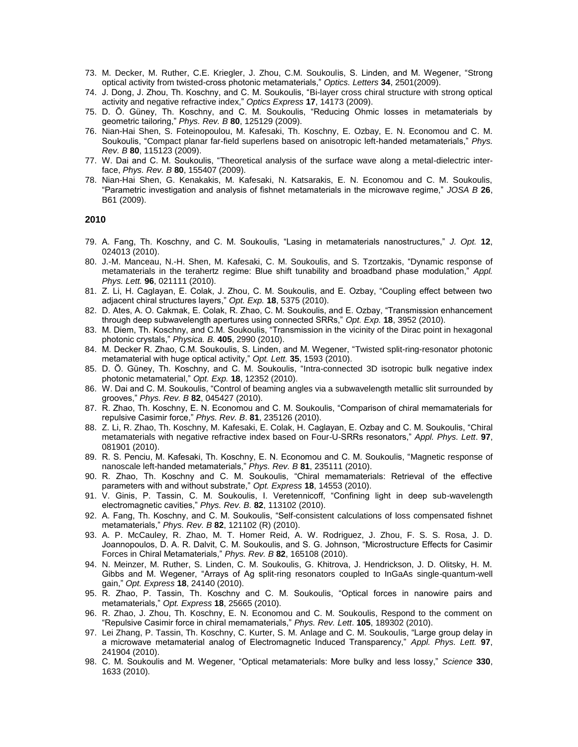- 73. M. Decker, M. Ruther, C.E. Kriegler, J. Zhou, C.M. Soukoulis, S. Linden, and M. Wegener, "Strong optical activity from twisted-cross photonic metamaterials," *Optics. Letters* **34**, 2501(2009).
- 74. J. Dong, J. Zhou, Th. Koschny, and C. M. Soukoulis, "Bi-layer cross chiral structure with strong optical activity and negative refractive index," *Optics Express* **17**, 14173 (2009).
- 75. D. Ö. Güney, Th. Koschny, and C. M. Soukoulis, "Reducing Ohmic losses in metamaterials by geometric tailoring," *Phys. Rev. B* **80**, 125129 (2009).
- 76. Nian-Hai Shen, S. Foteinopoulou, M. Kafesaki, Th. Koschny, E. Ozbay, E. N. Economou and C. M. Soukoulis, "Compact planar far-field superlens based on anisotropic left-handed metamaterials," *Phys. Rev. B* **80**, 115123 (2009).
- 77. W. Dai and C. M. Soukoulis, "Theoretical analysis of the surface wave along a metal-dielectric interface, *Phys. Rev. B* **80**, 155407 (2009).
- 78. Nian-Hai Shen, G. Kenakakis, M. Kafesaki, N. Katsarakis, E. N. Economou and C. M. Soukoulis, "Parametric investigation and analysis of fishnet metamaterials in the microwave regime," *JOSA B* **26**, B61 (2009).

- 79. A. Fang, Th. Koschny, and C. M. Soukoulis, "Lasing in metamaterials nanostructures," *J. Opt.* **12**, 024013 (2010).
- 80. J.-M. Manceau, N.-H. Shen, M. Kafesaki, C. M. Soukoulis, and S. Tzortzakis, "Dynamic response of metamaterials in the terahertz regime: Blue shift tunability and broadband phase modulation," *Appl. Phys. Lett.* **96**, 021111 (2010).
- 81. Z. Li, H. Caglayan, E. Colak, J. Zhou, C. M. Soukoulis, and E. Ozbay, "Coupling effect between two adjacent chiral structures layers," *Opt. Exp.* **18**, 5375 (2010).
- 82. D. Ates, A. O. Cakmak, E. Colak, R. Zhao, C. M. Soukoulis, and E. Ozbay, "Transmission enhancement through deep subwavelength apertures using connected SRRs," *Opt. Exp.* **18**, 3952 (2010).
- 83. M. Diem, Th. Koschny, and C.M. Soukoulis, "Transmission in the vicinity of the Dirac point in hexagonal photonic crystals," *Physica. B.* **405**, 2990 (2010).
- 84. M. Decker R. Zhao, C.M. Soukoulis, S. Linden, and M. Wegener, "Twisted split-ring-resonator photonic metamaterial with huge optical activity," *Opt. Lett.* **35**, 1593 (2010).
- 85. D. Ö. Güney, Th. Koschny, and C. M. Soukoulis, "Intra-connected 3D isotropic bulk negative index photonic metamaterial," *Opt. Exp.* **18**, 12352 (2010).
- 86. W. Dai and C. M. Soukoulis, "Control of beaming angles via a subwavelength metallic slit surrounded by grooves," *Phys. Rev. B* **82**, 045427 (2010).
- 87. R. Zhao, Th. Koschny, E. N. Economou and C. M. Soukoulis, "Comparison of chiral memamaterials for repulsive Casimir force," *Phys. Rev. B*. **81**, 235126 (2010).
- 88. Z. Li, R. Zhao, Th. Koschny, M. Kafesaki, E. Colak, H. Caglayan, E. Ozbay and C. M. Soukoulis, "Chiral metamaterials with negative refractive index based on Four-U-SRRs resonators," *Appl. Phys. Lett*. **97**, 081901 (2010).
- 89. R. S. Penciu, M. Kafesaki, Th. Koschny, E. N. Economou and C. M. Soukoulis, "Magnetic response of nanoscale left-handed metamaterials," *Phys. Rev. B* **81**, 235111 (2010).
- 90. R. Zhao, Th. Koschny and C. M. Soukoulis, "Chiral memamaterials: Retrieval of the effective parameters with and without substrate," *Opt. Express* **18**, 14553 (2010).
- 91. V. Ginis, P. Tassin, C. M. Soukoulis, I. Veretennicoff, "Confining light in deep sub-wavelength electromagnetic cavities," *Phys. Rev. B.* **82**, 113102 (2010).
- 92. A. Fang, Th. Koschny, and C. M. Soukoulis, "Self-consistent calculations of loss compensated fishnet metamaterials," *Phys. Rev. B* **82**, 121102 (R) (2010).
- 93. A. P. McCauley, R. Zhao, M. T. Homer Reid, A. W. Rodriguez, J. Zhou, F. S. S. Rosa, J. D. Joannopoulos, D. A. R. Dalvit, C. M. Soukoulis, and S. G. Johnson, "Microstructure Effects for Casimir Forces in Chiral Metamaterials," *Phys. Rev. B* **82**, 165108 (2010).
- 94. N. Meinzer, M. Ruther, S. Linden, C. M. Soukoulis, G. Khitrova, J. Hendrickson, J. D. Olitsky, H. M. Gibbs and M. Wegener, "Arrays of Ag split-ring resonators coupled to InGaAs single-quantum-well gain," *Opt. Express* **18**, 24140 (2010).
- 95. R. Zhao, P. Tassin, Th. Koschny and C. M. Soukoulis, "Optical forces in nanowire pairs and metamaterials," *Opt. Express* **18**, 25665 (2010).
- 96. R. Zhao, J. Zhou, Th. Koschny, E. N. Economou and C. M. Soukoulis, Respond to the comment on "Repulsive Casimir force in chiral memamaterials," *Phys. Rev. Lett*. **105**, 189302 (2010).
- 97. Lei Zhang, P. Tassin, Th. Koschny, C. Kurter, S. M. Anlage and C. M. Soukoulis, "Large group delay in a microwave metamaterial analog of Electromagnetic Induced Transparency," *Appl. Phys. Lett.* **97**, 241904 (2010).
- 98. C. M. Soukoulis and M. Wegener, "Optical metamaterials: More bulky and less lossy," *Science* **330**, 1633 (2010).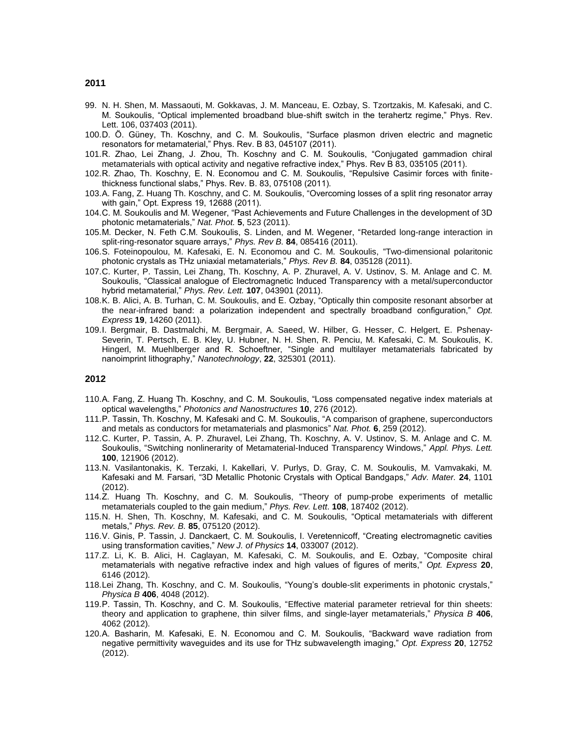- 99. N. H. Shen, M. Massaouti, M. Gokkavas, J. M. Manceau, E. Ozbay, S. Tzortzakis, M. Kafesaki, and C. M. Soukoulis, "Optical implemented broadband blue-shift switch in the terahertz regime," Phys. Rev. Lett. 106, 037403 (2011).
- 100.D. Ö. Güney, Th. Koschny, and C. M. Soukoulis, "Surface plasmon driven electric and magnetic resonators for metamaterial," Phys. Rev. B 83, 045107 (2011).
- 101.R. Zhao, Lei Zhang, J. Zhou, Th. Koschny and C. M. Soukoulis, "Conjugated gammadion chiral metamaterials with optical activity and negative refractive index," Phys. Rev B 83, 035105 (2011).
- 102.R. Zhao, Th. Koschny, E. N. Economou and C. M. Soukoulis, "Repulsive Casimir forces with finitethickness functional slabs," Phys. Rev. B. 83, 075108 (2011).
- 103.A. Fang, Z. Huang Th. Koschny, and C. M. Soukoulis, "Overcoming losses of a split ring resonator array with gain," Opt. Express 19, 12688 (2011).
- 104.C. M. Soukoulis and M. Wegener, "Past Achievements and Future Challenges in the development of 3D photonic metamaterials," *Nat. Phot.* **5**, 523 (2011).
- 105.M. Decker, N. Feth C.M. Soukoulis, S. Linden, and M. Wegener, "Retarded long-range interaction in split-ring-resonator square arrays," *Phys. Rev B.* **84**, 085416 (2011).
- 106.S. Foteinopoulou, M. Kafesaki, E. N. Economou and C. M. Soukoulis, "Two-dimensional polaritonic photonic crystals as THz uniaxial metamaterials," *Phys. Rev B.* **84**, 035128 (2011).
- 107.C. Kurter, P. Tassin, Lei Zhang, Th. Koschny, A. P. Zhuravel, A. V. Ustinov, S. M. Anlage and C. M. Soukoulis, "Classical analogue of Electromagnetic Induced Transparency with a metal/superconductor hybrid metamaterial," *Phys. Rev. Lett.* **107**, 043901 (2011).
- 108.K. B. Alici, A. B. Turhan, C. M. Soukoulis, and E. Ozbay, "Optically thin composite resonant absorber at the near-infrared band: a polarization independent and spectrally broadband configuration," *Opt. Express* **19**, 14260 (2011).
- 109.I. Bergmair, B. Dastmalchi, M. Bergmair, A. Saeed, W. Hilber, G. Hesser, C. Helgert, E. Pshenay-Severin, T. Pertsch, E. B. Kley, U. Hubner, N. H. Shen, R. Penciu, M. Kafesaki, C. M. Soukoulis, K. Hingerl, M. Muehlberger and R. Schoeftner, "Single and multilayer metamaterials fabricated by nanoimprint lithography," *Nanotechnology*, **22**, 325301 (2011).

- 110.A. Fang, Z. Huang Th. Koschny, and C. M. Soukoulis, "Loss compensated negative index materials at optical wavelengths," *Photonics and Nanostructures* **10**, 276 (2012).
- 111.P. Tassin, Th. Koschny, M. Kafesaki and C. M. Soukoulis, "A comparison of graphene, superconductors and metals as conductors for metamaterials and plasmonics" *Nat. Phot.* **6**, 259 (2012).
- 112.C. Kurter, P. Tassin, A. P. Zhuravel, Lei Zhang, Th. Koschny, A. V. Ustinov, S. M. Anlage and C. M. Soukoulis, "Switching nonlinerarity of Metamaterial-Induced Transparency Windows," *Appl. Phys. Lett.* **100**, 121906 (2012).
- 113.N. Vasilantonakis, K. Terzaki, I. Kakellari, V. Purlys, D. Gray, C. M. Soukoulis, M. Vamvakaki, M. Kafesaki and M. Farsari, "3D Metallic Photonic Crystals with Optical Bandgaps," *Adv. Mater.* **24**, 1101 (2012).
- 114.Z. Huang Th. Koschny, and C. M. Soukoulis, "Theory of pump-probe experiments of metallic metamaterials coupled to the gain medium," *Phys. Rev. Lett*. **108**, 187402 (2012).
- 115.N. H. Shen, Th. Koschny, M. Kafesaki, and C. M. Soukoulis, "Optical metamaterials with different metals," *Phys. Rev. B.* **85**, 075120 (2012).
- 116.V. Ginis, P. Tassin, J. Danckaert, C. M. Soukoulis, I. Veretennicoff, "Creating electromagnetic cavities using transformation cavities," *New J. of Physics* **14**, 033007 (2012).
- 117.Z. Li, K. B. Alici, H. Caglayan, M. Kafesaki, C. M. Soukoulis, and E. Ozbay, "Composite chiral metamaterials with negative refractive index and high values of figures of merits," *Opt. Express* **20**, 6146 (2012).
- 118.Lei Zhang, Th. Koschny, and C. M. Soukoulis, "Young's double-slit experiments in photonic crystals," *Physica B* **406**, 4048 (2012).
- 119.P. Tassin, Th. Koschny, and C. M. Soukoulis, "Effective material parameter retrieval for thin sheets: theory and application to graphene, thin silver films, and single-layer metamaterials," *Physica B* **406**, 4062 (2012).
- 120.A. Basharin, M. Kafesaki, E. N. Economou and C. M. Soukoulis, "Backward wave radiation from negative permittivity waveguides and its use for THz subwavelength imaging," *Opt. Express* **20**, 12752 (2012).